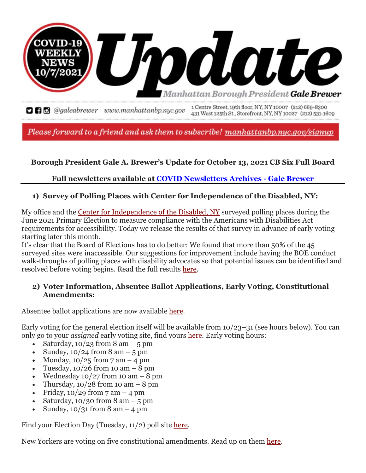

**DRE** @galeabrewer www.manhattanbp.nyc.gov 1Centre Street, 19th floor, NY, NY 10007 (212) 669-8300 431 West 125th St., Storefront, NY, NY 10027 (212) 531-1609

Please forward to a friend and ask them to subscribe! manhattanbp.nyc.gov/signup

## **Borough President Gale A. Brewer's Update for October 13, 2021 CB Six Full Board**

## **Full newsletters available at [COVID Newsletters Archives -](https://us11.campaign-archive.com/home/?u=bf27f3da34498cc55bd5e1da4&id=1fd07ef6f9) Gale Brewer**

#### **1) Survey of Polling Places with Center for Independence of the Disabled, NY:**

My office and the [Center for Independence of the Disabled, NY](https://www.cidny.org/) surveyed polling places during the June 2021 Primary Election to measure compliance with the Americans with Disabilities Act requirements for accessibility. Today we release the results of that survey in advance of early voting starting later this month.

It's clear that the Board of Elections has to do better: We found that more than 50% of the 45 surveyed sites were inaccessible. Our suggestions for improvement include having the BOE conduct walk-throughs of polling places with disability advocates so that potential issues can be identified and resolved before voting begins. Read the full results [here.](http://www.manhattanbp.nyc.gov/wp-content/uploads/2021/09/9-30-21PollSiteAccessibilityReportFINAL-1.pdf)

#### **2) Voter Information, Absentee Ballot Applications, Early Voting, Constitutional Amendments:**

Absentee ballot applications are now available [here.](https://vote.nyc/page/absentee-voting-0)

Early voting for the general election itself will be available from 10/23–31 (see hours below). You can only go to your *assigned* early voting site, find yours [here.](https://findmypollsite.vote.nyc/) Early voting hours:

- Saturday,  $10/23$  from 8 am  $-5$  pm
- Sunday,  $10/24$  from 8 am  $-5$  pm
- Monday,  $10/25$  from 7 am  $-4$  pm
- Tuesday,  $10/26$  from 10 am  $-8$  pm
- Wednesday  $10/27$  from 10 am  $-8$  pm
- Thursday,  $10/28$  from 10 am  $-8$  pm
- Friday,  $10/29$  from  $7 \text{ am} 4 \text{ pm}$
- Saturday,  $10/30$  from 8 am  $-5$  pm
- Sunday,  $10/31$  from 8 am  $-4$  pm

Find your Election Day (Tuesday, 11/2) poll site [here.](https://findmypollsite.vote.nyc/)

New Yorkers are voting on five constitutional amendments. Read up on them [here.](https://gothamist.com/news/five-ballot-proposals-breakdown-november-2021)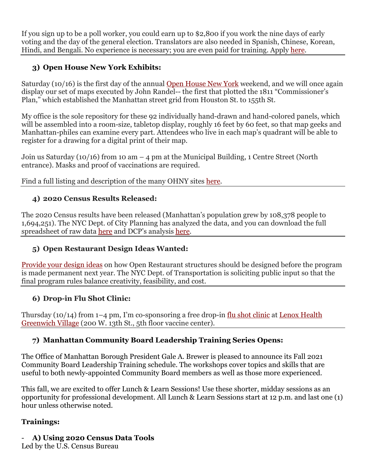If you sign up to be a poll worker, you could earn up to \$2,800 if you work the nine days of early voting and the day of the general election. Translators are also needed in Spanish, Chinese, Korean, Hindi, and Bengali. No experience is necessary; you are even paid for training. Apply [here.](https://vote.nyc/page/poll-worker-positions#p3)

# **3) Open House New York Exhibits:**

Saturday (10/16) is the first day of the annual [Open House New York](http://ohny.org/weekend/plan-your-weekend) weekend, and we will once again display our set of maps executed by John Randel-- the first that plotted the 1811 "Commissioner's Plan," which established the Manhattan street grid from Houston St. to 155th St.

My office is the sole repository for these 92 individually hand-drawn and hand-colored panels, which will be assembled into a room-size, tabletop display, roughly 16 feet by 60 feet, so that map geeks and Manhattan-philes can examine every part. Attendees who live in each map's quadrant will be able to register for a drawing for a digital print of their map.

Join us Saturday (10/16) from 10 am  $-$  4 pm at the Municipal Building, 1 Centre Street (North entrance). Masks and proof of vaccinations are required.

Find a full listing and description of the many OHNY sites [here.](http://ohny.org/weekend/plan-your-weekend)

# **4) 2020 Census Results Released:**

The 2020 Census results have been released (Manhattan's population grew by 108,378 people to 1,694,251). The NYC Dept. of City Planning has analyzed the data, and you can download the full spreadsheet of raw data [here](https://www1.nyc.gov/site/planning/planning-level/nyc-population/2020-census.page##2020-census-results) and DCP's analysis [here.](https://www1.nyc.gov/assets/planning/download/pdf/planning-level/nyc-population/census2020/dcp_2020-census-briefing-booklet-1.pdf?r=3)

# **5) Open Restaurant Design Ideas Wanted:**

[Provide your design ideas](https://www1.nyc.gov/html/dot/html/contact/contact-form.shtml) on how Open Restaurant structures should be designed before the program is made permanent next year. The NYC Dept. of Transportation is soliciting public input so that the final program rules balance creativity, feasibility, and cost.

## **6) Drop-in Flu Shot Clinic:**

Thursday (10/14) from 1–4 pm, I'm co-sponsoring a free drop-in [flu shot clinic](https://mailchi.mp/89844b0dccf0/free-flu-shots-fall-2021?e=628f5e9457) at Lenox Health [Greenwich Village](https://www.northwell.edu/lenox-health-greenwich-village) (200 W. 13th St., 5th floor vaccine center).

## **7) Manhattan Community Board Leadership Training Series Opens:**

The Office of Manhattan Borough President Gale A. Brewer is pleased to announce its Fall 2021 Community Board Leadership Training schedule. The workshops cover topics and skills that are useful to both newly-appointed Community Board members as well as those more experienced.

This fall, we are excited to offer Lunch & Learn Sessions! Use these shorter, midday sessions as an opportunity for professional development. All Lunch & Learn Sessions start at 12 p.m. and last one (1) hour unless otherwise noted.

#### **Trainings:**

- **A) Using 2020 Census Data Tools** 

Led by the U.S. Census Bureau